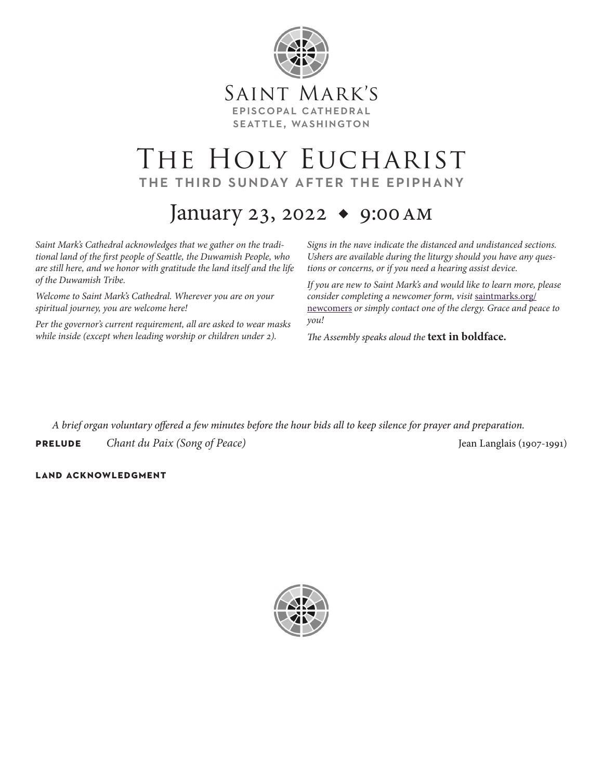

# THE HOLY EUCHARIST the third sunday after the epiphany

# January 23, 2022 ◆ 9:00am

*Saint Mark's Cathedral acknowledges that we gather on the traditional land of the first people of Seattle, the Duwamish People, who are still here, and we honor with gratitude the land itself and the life of the Duwamish Tribe.* 

*Welcome to Saint Mark's Cathedral. Wherever you are on your spiritual journey, you are welcome here!*

*Per the governor's current requirement, all are asked to wear masks while inside (except when leading worship or children under 2).*

*Signs in the nave indicate the distanced and undistanced sections. Ushers are available during the liturgy should you have any questions or concerns, or if you need a hearing assist device.*

*If you are new to Saint Mark's and would like to learn more, please consider completing a newcomer form, visit* [saintmarks.org/](https://saintmarks.org/im-new/im-new-here/) [newcomers](https://saintmarks.org/im-new/im-new-here/) *or simply contact one of the clergy. Grace and peace to you!*

*The Assembly speaks aloud the* **text in boldface.**

*A brief organ voluntary offered a few minutes before the hour bids all to keep silence for prayer and preparation.*

**PRELUDE** Chant du Paix (Song of Peace) *PRELUDE* Jean Langlais (1907-1991)

## **land acknowledgment**

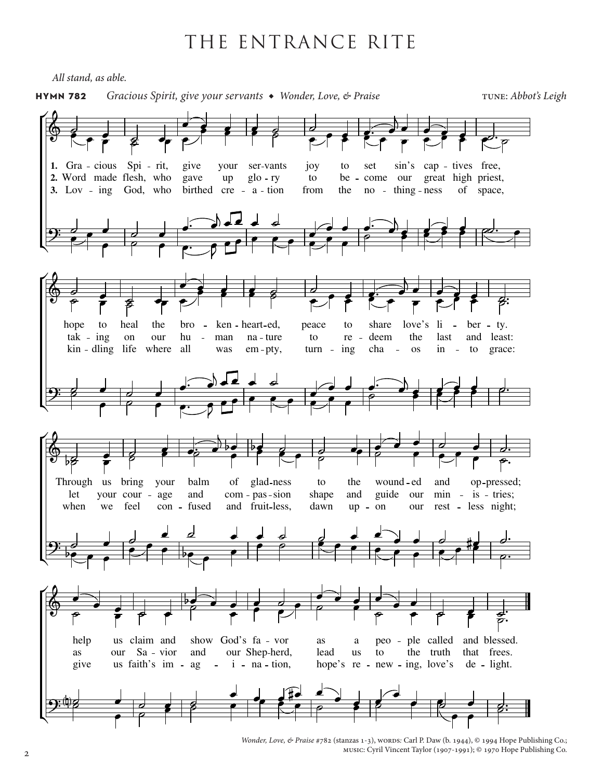# THE ENTRANCE RITE

*All stand, as able.*



*Wonder, Love, & Praise* #782 (stanzas 1-3), words: Carl P. Daw (b. 1944), © 1994 Hope Publishing Co.; music: Cyril Vincent Taylor (1907-1991); © 1970 Hope Publishing Co.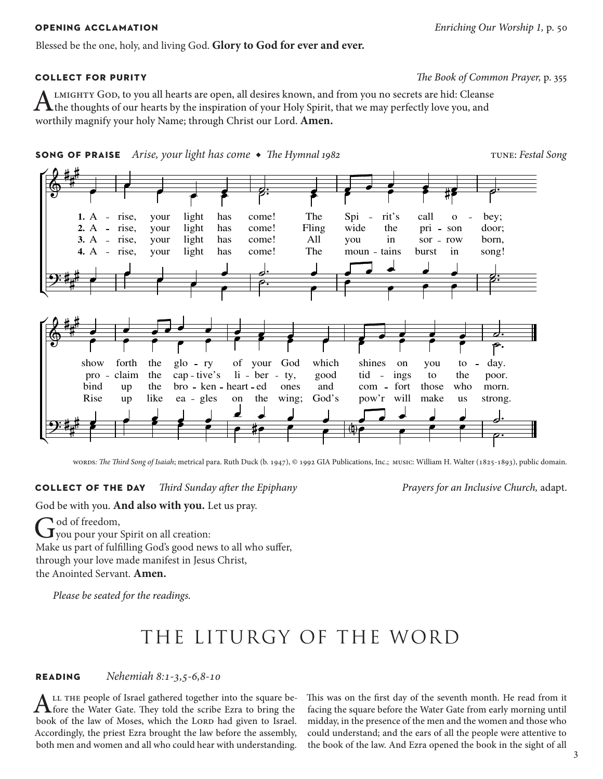Blessed be the one, holy, and living God. **Glory to God for ever and ever.**

# **collect for purity** *The Book of Common Prayer,* p. 355

ALMIGHTY GOD, to you all hearts are open, all desires known, and from you no secrets are hid: Cleanse<br>the thoughts of our hearts by the inspiration of your Holy Spirit, that we may perfectly love you, and worthily magnify your holy Name; through Christ our Lord. **Amen.**





words*: The Third Song of Isaiah*; metrical para. Ruth Duck (b. 1947), © 1992 GIA Publications, Inc.; music: William H. Walter (1825-1893), public domain.

## **collect of the day** *Third Sunday after the Epiphany Prayers for an Inclusive Church,* adapt.

God be with you. **And also with you.** Let us pray.

God of freedom,<br>
you pour your Spirit on all creation:

Make us part of fulfilling God's good news to all who suffer, through your love made manifest in Jesus Christ,

the Anointed Servant. **Amen.**

*Please be seated for the readings.*

# THE LITURGY OF THE WORD

**reading** *Nehemiah 8:1-3,5-6,8-10*

ALL THE people of Israel gathered together into the square be-<br>fore the Water Gate. They told the scribe Ezra to bring the book of the law of Moses, which the LORD had given to Israel. Accordingly, the priest Ezra brought the law before the assembly, both men and women and all who could hear with understanding.

This was on the first day of the seventh month. He read from it facing the square before the Water Gate from early morning until midday, in the presence of the men and the women and those who could understand; and the ears of all the people were attentive to the book of the law. And Ezra opened the book in the sight of all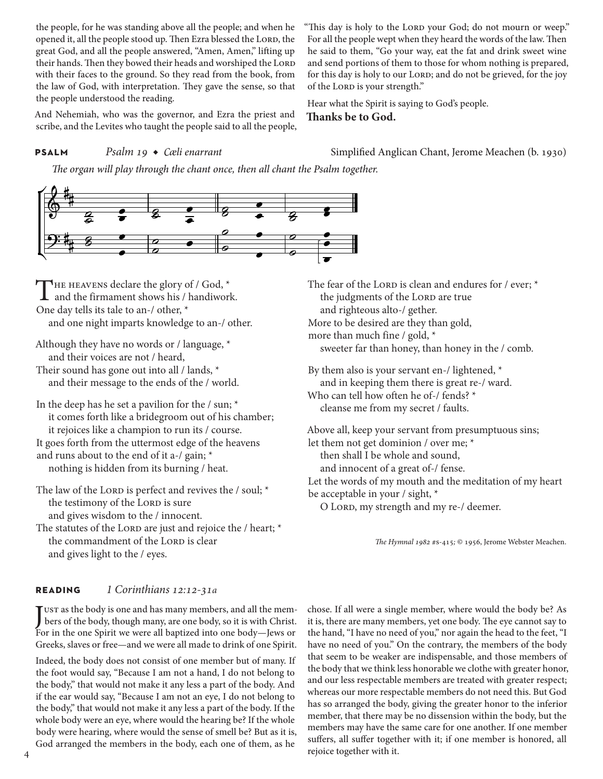the people, for he was standing above all the people; and when he opened it, all the people stood up. Then Ezra blessed the LORD, the great God, and all the people answered, "Amen, Amen," lifting up their hands. Then they bowed their heads and worshiped the LORD with their faces to the ground. So they read from the book, from the law of God, with interpretation. They gave the sense, so that the people understood the reading.

And Nehemiah, who was the governor, and Ezra the priest and scribe, and the Levites who taught the people said to all the people,

"This day is holy to the LORD your God; do not mourn or weep." For all the people wept when they heard the words of the law. Then he said to them, "Go your way, eat the fat and drink sweet wine and send portions of them to those for whom nothing is prepared, for this day is holy to our LORD; and do not be grieved, for the joy of the Lorp is your strength."

Hear what the Spirit is saying to God's people. **Thanks be to God.**

**PSALM** *Psalm 19 ◆ Cæli enarrant* Simplified Anglican Chant, Jerome Meachen (b. 1930)

*The organ will play through the chant once, then all chant the Psalm together.*



THE HEAVENS declare the glory of / God,  $*$ <br>and the firmament shows his / handiwork. One day tells its tale to an-/ other, \* and one night imparts knowledge to an-/ other.

Although they have no words or / language, \* and their voices are not / heard, Their sound has gone out into all / lands, \* and their message to the ends of the / world.

In the deep has he set a pavilion for the / sun; \* it comes forth like a bridegroom out of his chamber; it rejoices like a champion to run its / course. It goes forth from the uttermost edge of the heavens and runs about to the end of it a-/ gain; \* nothing is hidden from its burning / heat.

The law of the LORD is perfect and revives the  $/$  soul;  $*$ the testimony of the LORD is sure and gives wisdom to the / innocent.

The statutes of the LORD are just and rejoice the  $/$  heart;  $*$ the commandment of the LORD is clear and gives light to the / eyes.

The fear of the LORD is clean and endures for / ever; \* the judgments of the LORD are true and righteous alto-/ gether. More to be desired are they than gold, more than much fine / gold, \* sweeter far than honey, than honey in the / comb.

By them also is your servant en-/ lightened, \* and in keeping them there is great re-/ ward. Who can tell how often he of-/ fends? \* cleanse me from my secret / faults.

Above all, keep your servant from presumptuous sins; let them not get dominion / over me; \* then shall I be whole and sound, and innocent of a great of-/ fense. Let the words of my mouth and the meditation of my heart be acceptable in your / sight, \*

O LORD, my strength and my re-/ deemer.

*The Hymnal 1982* #s-415*;* © 1956, Jerome Webster Meachen.

## **reading** *1 Corinthians 12:12-31a*

JUST as the body is one and has many members, and all the members of the body, though many, are one body, so it is with Christ. bers of the body, though many, are one body, so it is with Christ. For in the one Spirit we were all baptized into one body—Jews or Greeks, slaves or free—and we were all made to drink of one Spirit.

Indeed, the body does not consist of one member but of many. If the foot would say, "Because I am not a hand, I do not belong to the body," that would not make it any less a part of the body. And if the ear would say, "Because I am not an eye, I do not belong to the body," that would not make it any less a part of the body. If the whole body were an eye, where would the hearing be? If the whole body were hearing, where would the sense of smell be? But as it is, God arranged the members in the body, each one of them, as he

chose. If all were a single member, where would the body be? As it is, there are many members, yet one body. The eye cannot say to the hand, "I have no need of you," nor again the head to the feet, "I have no need of you." On the contrary, the members of the body that seem to be weaker are indispensable, and those members of the body that we think less honorable we clothe with greater honor, and our less respectable members are treated with greater respect; whereas our more respectable members do not need this. But God has so arranged the body, giving the greater honor to the inferior member, that there may be no dissension within the body, but the members may have the same care for one another. If one member suffers, all suffer together with it; if one member is honored, all rejoice together with it.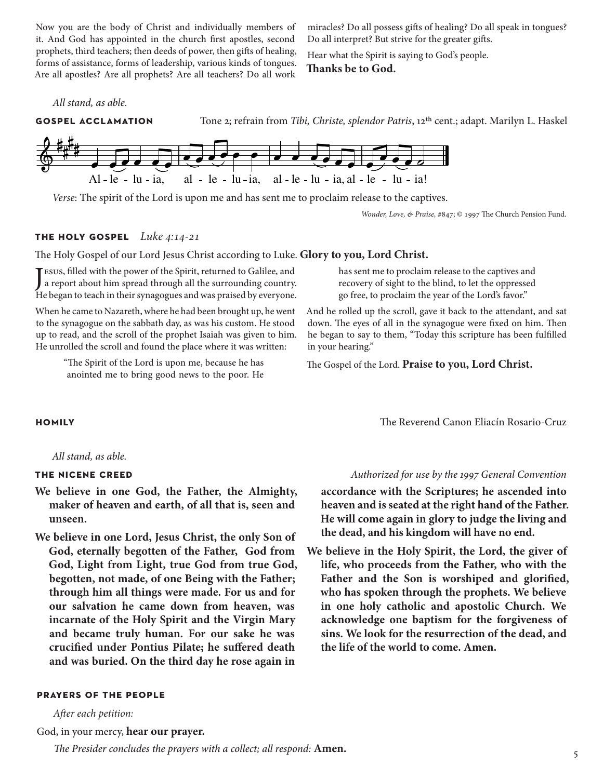Now you are the body of Christ and individually members of it. And God has appointed in the church first apostles, second prophets, third teachers; then deeds of power, then gifts of healing, forms of assistance, forms of leadership, various kinds of tongues. Are all apostles? Are all prophets? Are all teachers? Do all work

miracles? Do all possess gifts of healing? Do all speak in tongues? Do all interpret? But strive for the greater gifts.

Hear what the Spirit is saying to God's people. **Thanks be to God.**

### *All stand, as able.*

**gospel acclamation**Tone 2; refrain from *Tibi, Christe, splendor Patris*, 12th cent.; adapt. Marilyn L. Haskel



*Verse*: The spirit of the Lord is upon me and has sent me to proclaim release to the captives.

*Wonder, Love, & Praise,* #847; © 1997 The Church Pension Fund.

### **the holy gospel** *Luke 4:14-21*

The Holy Gospel of our Lord Jesus Christ according to Luke. **Glory to you, Lord Christ.**

J esus, filled with the power of the Spirit, returned to Galilee, and a report about him spread through all the surrounding country. He began to teach in their synagogues and was praised by everyone.

When he came to Nazareth, where he had been brought up, he went to the synagogue on the sabbath day, as was his custom. He stood up to read, and the scroll of the prophet Isaiah was given to him. He unrolled the scroll and found the place where it was written:

> "The Spirit of the Lord is upon me, because he has anointed me to bring good news to the poor. He

has sent me to proclaim release to the captives and recovery of sight to the blind, to let the oppressed go free, to proclaim the year of the Lord's favor."

And he rolled up the scroll, gave it back to the attendant, and sat down. The eyes of all in the synagogue were fixed on him. Then he began to say to them, "Today this scripture has been fulfilled in your hearing."

The Gospel of the Lord. **Praise to you, Lord Christ.**

*All stand, as able.*

- **We believe in one God, the Father, the Almighty, maker of heaven and earth, of all that is, seen and unseen.**
- **We believe in one Lord, Jesus Christ, the only Son of God, eternally begotten of the Father, God from God, Light from Light, true God from true God, begotten, not made, of one Being with the Father; through him all things were made. For us and for our salvation he came down from heaven, was incarnate of the Holy Spirit and the Virgin Mary and became truly human. For our sake he was crucified under Pontius Pilate; he suffered death and was buried. On the third day he rose again in**

### **prayers of the people**

*After each petition:*

God, in your mercy, **hear our prayer.**

*The Presider concludes the prayers with a collect; all respond:* **Amen.**

**homily** The Reverend Canon Eliacín Rosario-Cruz

### **the nicene creed** *Authorized for use by the 1997 General Convention*

**accordance with the Scriptures; he ascended into heaven and is seated at the right hand of the Father. He will come again in glory to judge the living and the dead, and his kingdom will have no end.**

**We believe in the Holy Spirit, the Lord, the giver of life, who proceeds from the Father, who with the Father and the Son is worshiped and glorified, who has spoken through the prophets. We believe in one holy catholic and apostolic Church. We acknowledge one baptism for the forgiveness of sins. We look for the resurrection of the dead, and the life of the world to come. Amen.**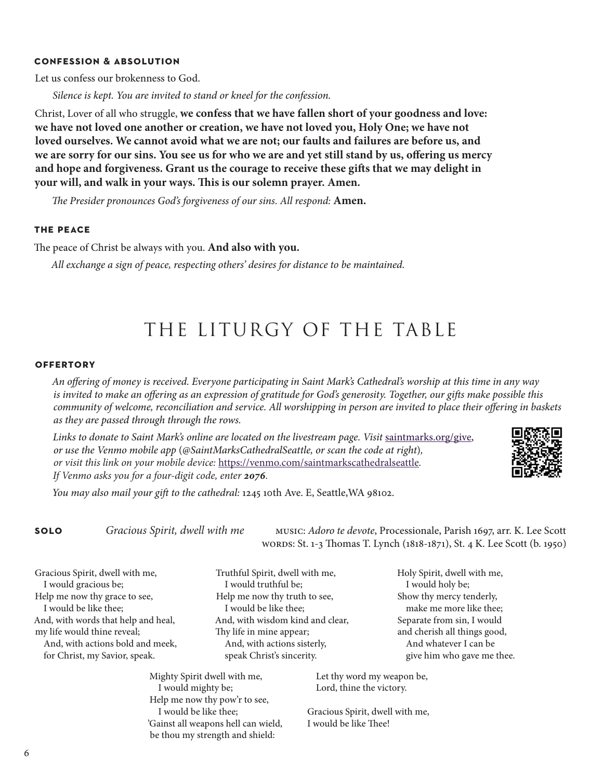### **confession & absolution**

Let us confess our brokenness to God.

*Silence is kept. You are invited to stand or kneel for the confession.*

Christ, Lover of all who struggle, **we confess that we have fallen short of your goodness and love: we have not loved one another or creation, we have not loved you, Holy One; we have not loved ourselves. We cannot avoid what we are not; our faults and failures are before us, and we are sorry for our sins. You see us for who we are and yet still stand by us, offering us mercy and hope and forgiveness. Grant us the courage to receive these gifts that we may delight in your will, and walk in your ways. This is our solemn prayer. Amen.**

*The Presider pronounces God's forgiveness of our sins. All respond:* **Amen.**

### **the peace**

The peace of Christ be always with you. **And also with you.**

*All exchange a sign of peace, respecting others' desires for distance to be maintained.* 

# THE LITURGY OF THE TABLE

### **offertory**

*An offering of money is received. Everyone participating in Saint Mark's Cathedral's worship at this time in any way is invited to make an offering as an expression of gratitude for God's generosity. Together, our gifts make possible this community of welcome, reconciliation and service. All worshipping in person are invited to place their offering in baskets as they are passed through through the rows.* 

Links to donate to Saint Mark's online are located on the livestream page. Visit [saintmarks.org/give,](http://saintmarks.org/give) *or use the Venmo mobile app* (*@SaintMarksCathedralSeattle, or scan the code at right*)*, or visit this link on your mobile device:* <https://venmo.com/saintmarkscathedralseattle>*. If Venmo asks you for a four-digit code, enter 2076.*



*You may also mail your gift to the cathedral:* 1245 10th Ave. E, Seattle,WA 98102.

Mighty Spirit dwell with me, I would mighty be; Help me now thy pow'r to see, I would be like thee;

'Gainst all weapons hell can wield, be thou my strength and shield:

**solo** *Gracious Spirit, dwell with me* music: *Adoro te devote*, Processionale, Parish 1697, arr. K. Lee Scott words: St. 1-3 Thomas T. Lynch (1818-1871), St. 4 K. Lee Scott (b. 1950)

Gracious Spirit, dwell with me, I would gracious be; Help me now thy grace to see, I would be like thee; And, with words that help and heal, my life would thine reveal; And, with actions bold and meek, for Christ, my Savior, speak.

Truthful Spirit, dwell with me, I would truthful be; Help me now thy truth to see, I would be like thee; And, with wisdom kind and clear, Thy life in mine appear; And, with actions sisterly, speak Christ's sincerity.

Holy Spirit, dwell with me, I would holy be; Show thy mercy tenderly, make me more like thee; Separate from sin, I would and cherish all things good, And whatever I can be give him who gave me thee.

 Let thy word my weapon be, Lord, thine the victory.

Gracious Spirit, dwell with me, I would be like Thee!

6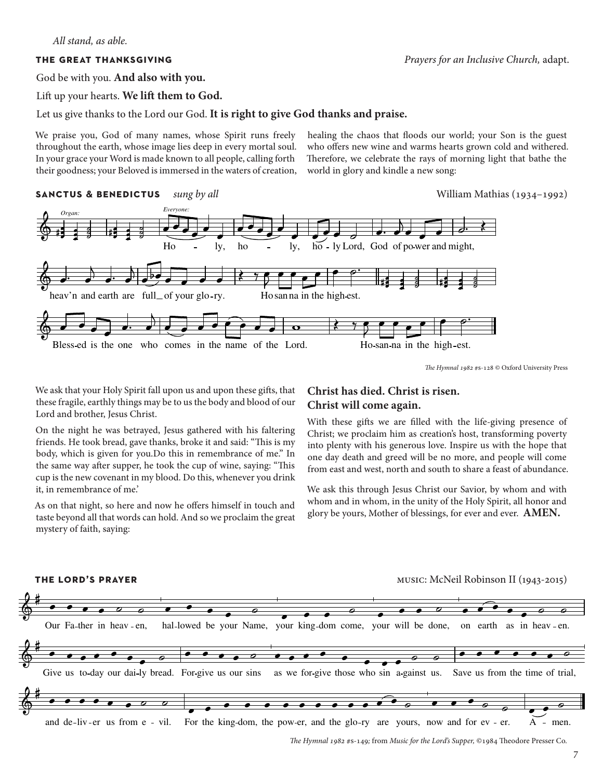God be with you. **And also with you.** 

Lift up your hearts. **We lift them to God.** 

Let us give thanks to the Lord our God. **It is right to give God thanks and praise.**

We praise you, God of many names, whose Spirit runs freely throughout the earth, whose image lies deep in every mortal soul. In your grace your Word is made known to all people, calling forth their goodness; your Beloved is immersed in the waters of creation,

healing the chaos that floods our world; your Son is the guest who offers new wine and warms hearts grown cold and withered. Therefore, we celebrate the rays of morning light that bathe the world in glory and kindle a new song:





*The Hymnal 1982* #s-128 © Oxford University Press

We ask that your Holy Spirit fall upon us and upon these gifts, that these fragile, earthly things may be to us the body and blood of our Lord and brother, Jesus Christ.

On the night he was betrayed, Jesus gathered with his faltering friends. He took bread, gave thanks, broke it and said: "This is my body, which is given for you.Do this in remembrance of me." In the same way after supper, he took the cup of wine, saying: "This cup is the new covenant in my blood. Do this, whenever you drink it, in remembrance of me.'

As on that night, so here and now he offers himself in touch and taste beyond all that words can hold. And so we proclaim the great mystery of faith, saying:

# **Christ has died. Christ is risen. Christ will come again.**

With these gifts we are filled with the life-giving presence of Christ; we proclaim him as creation's host, transforming poverty into plenty with his generous love. Inspire us with the hope that one day death and greed will be no more, and people will come from east and west, north and south to share a feast of abundance.

We ask this through Jesus Christ our Savior, by whom and with whom and in whom, in the unity of the Holy Spirit, all honor and glory be yours, Mother of blessings, for ever and ever. **AMEN.**



*The Hymnal 1982* #s-149*;* from *Music for the Lord's Supper,* ©1984 Theodore Presser Co.